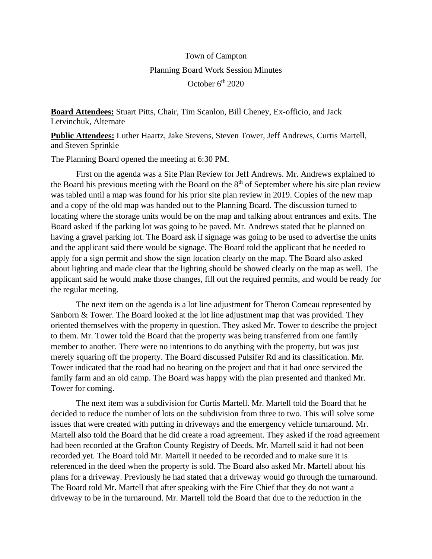## Town of Campton Planning Board Work Session Minutes October  $6<sup>th</sup> 2020$

**Board Attendees:** Stuart Pitts, Chair, Tim Scanlon, Bill Cheney, Ex-officio, and Jack Letvinchuk, Alternate

**Public Attendees:** Luther Haartz, Jake Stevens, Steven Tower, Jeff Andrews, Curtis Martell, and Steven Sprinkle

The Planning Board opened the meeting at 6:30 PM.

First on the agenda was a Site Plan Review for Jeff Andrews. Mr. Andrews explained to the Board his previous meeting with the Board on the  $8<sup>th</sup>$  of September where his site plan review was tabled until a map was found for his prior site plan review in 2019. Copies of the new map and a copy of the old map was handed out to the Planning Board. The discussion turned to locating where the storage units would be on the map and talking about entrances and exits. The Board asked if the parking lot was going to be paved. Mr. Andrews stated that he planned on having a gravel parking lot. The Board ask if signage was going to be used to advertise the units and the applicant said there would be signage. The Board told the applicant that he needed to apply for a sign permit and show the sign location clearly on the map. The Board also asked about lighting and made clear that the lighting should be showed clearly on the map as well. The applicant said he would make those changes, fill out the required permits, and would be ready for the regular meeting.

The next item on the agenda is a lot line adjustment for Theron Comeau represented by Sanborn & Tower. The Board looked at the lot line adjustment map that was provided. They oriented themselves with the property in question. They asked Mr. Tower to describe the project to them. Mr. Tower told the Board that the property was being transferred from one family member to another. There were no intentions to do anything with the property, but was just merely squaring off the property. The Board discussed Pulsifer Rd and its classification. Mr. Tower indicated that the road had no bearing on the project and that it had once serviced the family farm and an old camp. The Board was happy with the plan presented and thanked Mr. Tower for coming.

The next item was a subdivision for Curtis Martell. Mr. Martell told the Board that he decided to reduce the number of lots on the subdivision from three to two. This will solve some issues that were created with putting in driveways and the emergency vehicle turnaround. Mr. Martell also told the Board that he did create a road agreement. They asked if the road agreement had been recorded at the Grafton County Registry of Deeds. Mr. Martell said it had not been recorded yet. The Board told Mr. Martell it needed to be recorded and to make sure it is referenced in the deed when the property is sold. The Board also asked Mr. Martell about his plans for a driveway. Previously he had stated that a driveway would go through the turnaround. The Board told Mr. Martell that after speaking with the Fire Chief that they do not want a driveway to be in the turnaround. Mr. Martell told the Board that due to the reduction in the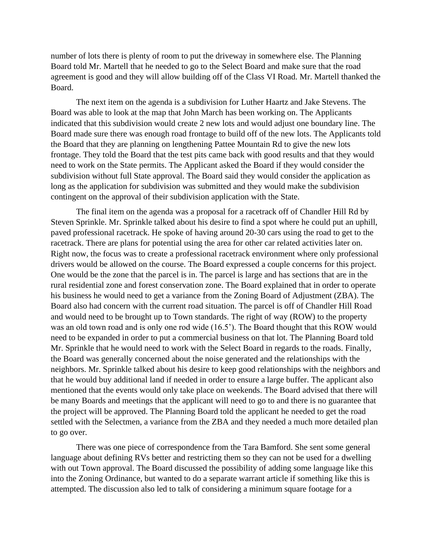number of lots there is plenty of room to put the driveway in somewhere else. The Planning Board told Mr. Martell that he needed to go to the Select Board and make sure that the road agreement is good and they will allow building off of the Class VI Road. Mr. Martell thanked the Board.

The next item on the agenda is a subdivision for Luther Haartz and Jake Stevens. The Board was able to look at the map that John March has been working on. The Applicants indicated that this subdivision would create 2 new lots and would adjust one boundary line. The Board made sure there was enough road frontage to build off of the new lots. The Applicants told the Board that they are planning on lengthening Pattee Mountain Rd to give the new lots frontage. They told the Board that the test pits came back with good results and that they would need to work on the State permits. The Applicant asked the Board if they would consider the subdivision without full State approval. The Board said they would consider the application as long as the application for subdivision was submitted and they would make the subdivision contingent on the approval of their subdivision application with the State.

The final item on the agenda was a proposal for a racetrack off of Chandler Hill Rd by Steven Sprinkle. Mr. Sprinkle talked about his desire to find a spot where he could put an uphill, paved professional racetrack. He spoke of having around 20-30 cars using the road to get to the racetrack. There are plans for potential using the area for other car related activities later on. Right now, the focus was to create a professional racetrack environment where only professional drivers would be allowed on the course. The Board expressed a couple concerns for this project. One would be the zone that the parcel is in. The parcel is large and has sections that are in the rural residential zone and forest conservation zone. The Board explained that in order to operate his business he would need to get a variance from the Zoning Board of Adjustment (ZBA). The Board also had concern with the current road situation. The parcel is off of Chandler Hill Road and would need to be brought up to Town standards. The right of way (ROW) to the property was an old town road and is only one rod wide (16.5'). The Board thought that this ROW would need to be expanded in order to put a commercial business on that lot. The Planning Board told Mr. Sprinkle that he would need to work with the Select Board in regards to the roads. Finally, the Board was generally concerned about the noise generated and the relationships with the neighbors. Mr. Sprinkle talked about his desire to keep good relationships with the neighbors and that he would buy additional land if needed in order to ensure a large buffer. The applicant also mentioned that the events would only take place on weekends. The Board advised that there will be many Boards and meetings that the applicant will need to go to and there is no guarantee that the project will be approved. The Planning Board told the applicant he needed to get the road settled with the Selectmen, a variance from the ZBA and they needed a much more detailed plan to go over.

There was one piece of correspondence from the Tara Bamford. She sent some general language about defining RVs better and restricting them so they can not be used for a dwelling with out Town approval. The Board discussed the possibility of adding some language like this into the Zoning Ordinance, but wanted to do a separate warrant article if something like this is attempted. The discussion also led to talk of considering a minimum square footage for a